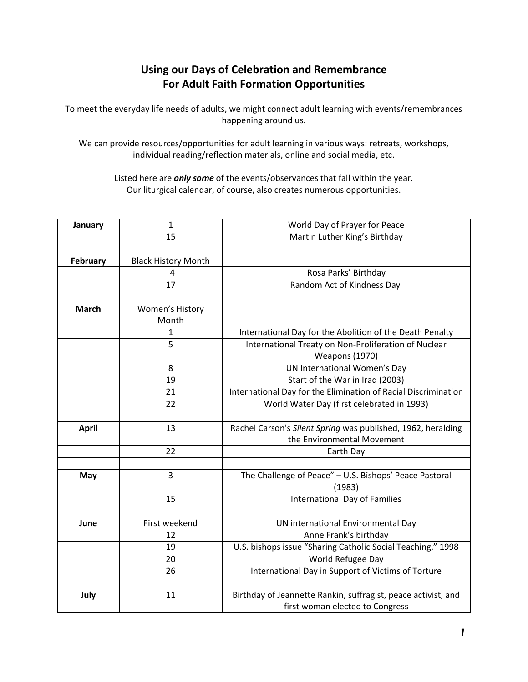## **Using our Days of Celebration and Remembrance For Adult Faith Formation Opportunities**

To meet the everyday life needs of adults, we might connect adult learning with events/remembrances happening around us.

We can provide resources/opportunities for adult learning in various ways: retreats, workshops, individual reading/reflection materials, online and social media, etc.

Listed here are *only some* of the events/observances that fall within the year. Our liturgical calendar, of course, also creates numerous opportunities.

| January      | 1                          | World Day of Prayer for Peace                                  |
|--------------|----------------------------|----------------------------------------------------------------|
|              | 15                         | Martin Luther King's Birthday                                  |
|              |                            |                                                                |
| February     | <b>Black History Month</b> |                                                                |
|              | $\overline{4}$             | Rosa Parks' Birthday                                           |
|              | 17                         | Random Act of Kindness Day                                     |
|              |                            |                                                                |
| <b>March</b> | Women's History            |                                                                |
|              | Month                      |                                                                |
|              | 1                          | International Day for the Abolition of the Death Penalty       |
|              | 5                          | International Treaty on Non-Proliferation of Nuclear           |
|              |                            | <b>Weapons (1970)</b>                                          |
|              | 8                          | <b>UN International Women's Day</b>                            |
|              | 19                         | Start of the War in Iraq (2003)                                |
|              | 21                         | International Day for the Elimination of Racial Discrimination |
|              | 22                         | World Water Day (first celebrated in 1993)                     |
|              |                            |                                                                |
| <b>April</b> | 13                         | Rachel Carson's Silent Spring was published, 1962, heralding   |
|              |                            | the Environmental Movement                                     |
|              | 22                         | Earth Day                                                      |
|              |                            |                                                                |
| May          | $\overline{3}$             | The Challenge of Peace" - U.S. Bishops' Peace Pastoral         |
|              |                            | (1983)                                                         |
|              | 15                         | International Day of Families                                  |
|              |                            |                                                                |
| June         | First weekend              | UN international Environmental Day                             |
|              | 12                         | Anne Frank's birthday                                          |
|              | 19                         | U.S. bishops issue "Sharing Catholic Social Teaching," 1998    |
|              | 20                         | World Refugee Day                                              |
|              | 26                         | International Day in Support of Victims of Torture             |
|              |                            |                                                                |
| July         | 11                         | Birthday of Jeannette Rankin, suffragist, peace activist, and  |
|              |                            | first woman elected to Congress                                |